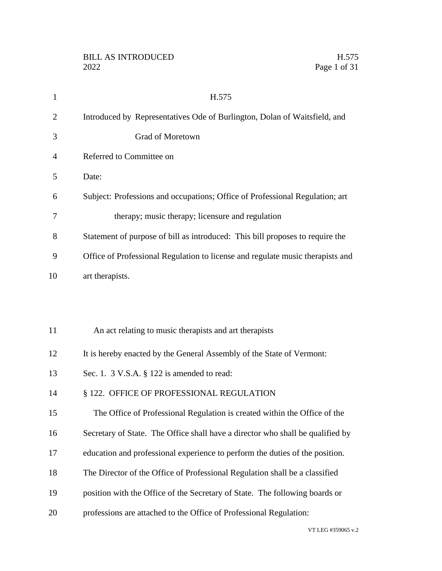| $\mathbf{1}$   | H.575                                                                          |
|----------------|--------------------------------------------------------------------------------|
| $\overline{2}$ | Introduced by Representatives Ode of Burlington, Dolan of Waitsfield, and      |
| 3              | Grad of Moretown                                                               |
| 4              | Referred to Committee on                                                       |
| 5              | Date:                                                                          |
| 6              | Subject: Professions and occupations; Office of Professional Regulation; art   |
| 7              | therapy; music therapy; licensure and regulation                               |
| 8              | Statement of purpose of bill as introduced: This bill proposes to require the  |
| 9              | Office of Professional Regulation to license and regulate music therapists and |
| 10             | art therapists.                                                                |
|                |                                                                                |
|                |                                                                                |
| 11             | An act relating to music therapists and art therapists                         |
| 12             | It is hereby enacted by the General Assembly of the State of Vermont:          |
| 13             | Sec. 1. $3$ V.S.A. $\S$ 122 is amended to read:                                |
| 14             | § 122. OFFICE OF PROFESSIONAL REGULATION                                       |
| 15             | The Office of Professional Regulation is created within the Office of the      |
| 16             | Secretary of State. The Office shall have a director who shall be qualified by |
| 17             | education and professional experience to perform the duties of the position.   |
| 18             | The Director of the Office of Professional Regulation shall be a classified    |
| 19             | position with the Office of the Secretary of State. The following boards or    |
| 20             | professions are attached to the Office of Professional Regulation:             |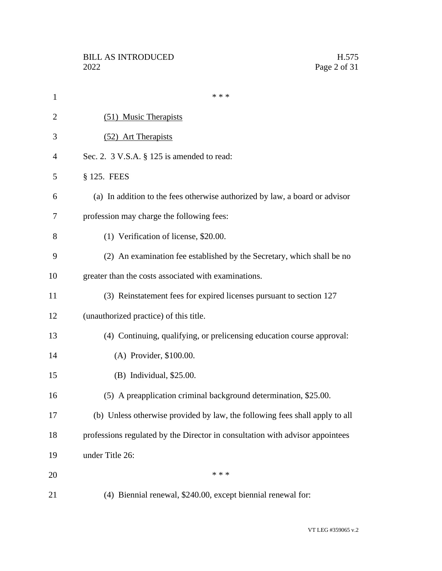| $\mathbf{1}$   | * * *                                                                         |
|----------------|-------------------------------------------------------------------------------|
| $\overline{2}$ | (51) Music Therapists                                                         |
| 3              | (52) Art Therapists                                                           |
| 4              | Sec. 2. $3$ V.S.A. $\S$ 125 is amended to read:                               |
| 5              | § 125. FEES                                                                   |
| 6              | (a) In addition to the fees otherwise authorized by law, a board or advisor   |
| 7              | profession may charge the following fees:                                     |
| 8              | (1) Verification of license, \$20.00.                                         |
| 9              | (2) An examination fee established by the Secretary, which shall be no        |
| 10             | greater than the costs associated with examinations.                          |
| 11             | (3) Reinstatement fees for expired licenses pursuant to section 127           |
| 12             | (unauthorized practice) of this title.                                        |
| 13             | (4) Continuing, qualifying, or prelicensing education course approval:        |
| 14             | (A) Provider, \$100.00.                                                       |
| 15             | (B) Individual, \$25.00.                                                      |
| 16             | (5) A preapplication criminal background determination, \$25.00.              |
| 17             | (b) Unless otherwise provided by law, the following fees shall apply to all   |
| 18             | professions regulated by the Director in consultation with advisor appointees |
| 19             | under Title 26:                                                               |
| 20             | * * *                                                                         |
| 21             | (4) Biennial renewal, \$240.00, except biennial renewal for:                  |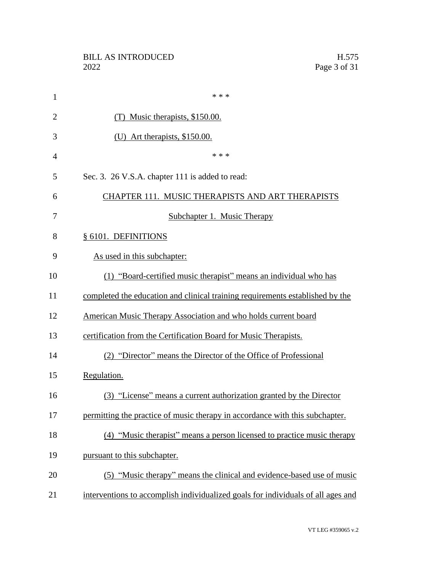| $\mathbf{1}$   | * * *                                                                            |
|----------------|----------------------------------------------------------------------------------|
| $\overline{2}$ | (T) Music therapists, \$150.00.                                                  |
| 3              | (U) Art therapists, \$150.00.                                                    |
| $\overline{4}$ | * * *                                                                            |
| 5              | Sec. 3. 26 V.S.A. chapter 111 is added to read:                                  |
| 6              | CHAPTER 111. MUSIC THERAPISTS AND ART THERAPISTS                                 |
| 7              | Subchapter 1. Music Therapy                                                      |
| 8              | § 6101. DEFINITIONS                                                              |
| 9              | As used in this subchapter:                                                      |
| 10             | (1) "Board-certified music therapist" means an individual who has                |
| 11             | completed the education and clinical training requirements established by the    |
| 12             | American Music Therapy Association and who holds current board                   |
| 13             | certification from the Certification Board for Music Therapists.                 |
| 14             | (2) "Director" means the Director of the Office of Professional                  |
| 15             | Regulation.                                                                      |
| 16             | (3) "License" means a current authorization granted by the Director              |
| 17             | permitting the practice of music therapy in accordance with this subchapter.     |
| 18             | (4) "Music therapist" means a person licensed to practice music therapy          |
| 19             | pursuant to this subchapter.                                                     |
| 20             | (5) "Music therapy" means the clinical and evidence-based use of music           |
| 21             | interventions to accomplish individualized goals for individuals of all ages and |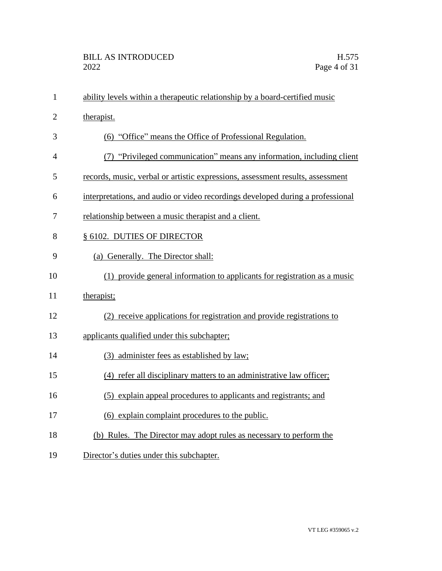| $\mathbf{1}$   | ability levels within a therapeutic relationship by a board-certified music    |
|----------------|--------------------------------------------------------------------------------|
| $\overline{2}$ | therapist.                                                                     |
| 3              | (6) "Office" means the Office of Professional Regulation.                      |
| $\overline{4}$ | (7) "Privileged communication" means any information, including client         |
| 5              | records, music, verbal or artistic expressions, assessment results, assessment |
| 6              | interpretations, and audio or video recordings developed during a professional |
| 7              | relationship between a music therapist and a client.                           |
| 8              | § 6102. DUTIES OF DIRECTOR                                                     |
| 9              | (a) Generally. The Director shall:                                             |
| 10             | (1) provide general information to applicants for registration as a music      |
| 11             | therapist;                                                                     |
| 12             | (2) receive applications for registration and provide registrations to         |
| 13             | applicants qualified under this subchapter;                                    |
| 14             | (3) administer fees as established by law;                                     |
| 15             | (4) refer all disciplinary matters to an administrative law officer;           |
| 16             | (5) explain appeal procedures to applicants and registrants; and               |
| 17             | (6) explain complaint procedures to the public.                                |
| 18             | (b) Rules. The Director may adopt rules as necessary to perform the            |
| 19             | Director's duties under this subchapter.                                       |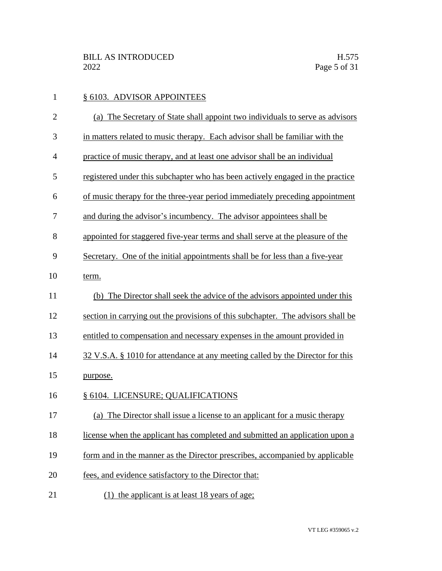| $\mathbf{1}$   | § 6103. ADVISOR APPOINTEES                                                       |
|----------------|----------------------------------------------------------------------------------|
| $\overline{c}$ | (a) The Secretary of State shall appoint two individuals to serve as advisors    |
| 3              | in matters related to music therapy. Each advisor shall be familiar with the     |
| 4              | practice of music therapy, and at least one advisor shall be an individual       |
| 5              | registered under this subchapter who has been actively engaged in the practice   |
| 6              | of music therapy for the three-year period immediately preceding appointment     |
| 7              | and during the advisor's incumbency. The advisor appointees shall be             |
| 8              | appointed for staggered five-year terms and shall serve at the pleasure of the   |
| 9              | Secretary. One of the initial appointments shall be for less than a five-year    |
| 10             | term.                                                                            |
| 11             | (b) The Director shall seek the advice of the advisors appointed under this      |
| 12             | section in carrying out the provisions of this subchapter. The advisors shall be |
| 13             | entitled to compensation and necessary expenses in the amount provided in        |
| 14             | 32 V.S.A. § 1010 for attendance at any meeting called by the Director for this   |
| 15             | purpose.                                                                         |
| 16             | § 6104. LICENSURE; QUALIFICATIONS                                                |
| 17             | The Director shall issue a license to an applicant for a music therapy<br>(a)    |
| 18             | license when the applicant has completed and submitted an application upon a     |
| 19             | form and in the manner as the Director prescribes, accompanied by applicable     |
| 20             | fees, and evidence satisfactory to the Director that:                            |
| 21             | $(1)$ the applicant is at least 18 years of age;                                 |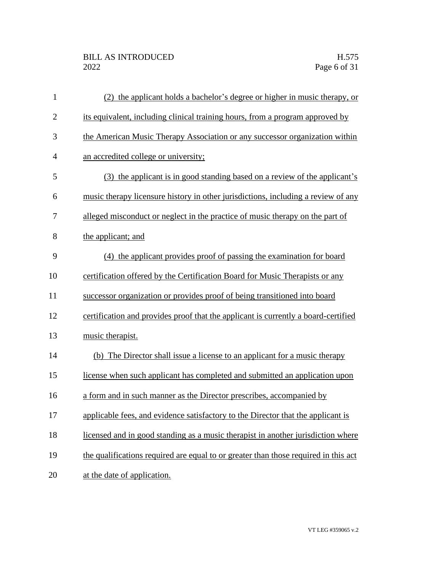| 1              | (2) the applicant holds a bachelor's degree or higher in music therapy, or          |
|----------------|-------------------------------------------------------------------------------------|
| $\mathbf{2}$   | its equivalent, including clinical training hours, from a program approved by       |
| 3              | the American Music Therapy Association or any successor organization within         |
| $\overline{4}$ | an accredited college or university;                                                |
| 5              | (3) the applicant is in good standing based on a review of the applicant's          |
| 6              | music therapy licensure history in other jurisdictions, including a review of any   |
| 7              | alleged misconduct or neglect in the practice of music therapy on the part of       |
| 8              | the applicant; and                                                                  |
| 9              | (4) the applicant provides proof of passing the examination for board               |
| 10             | certification offered by the Certification Board for Music Therapists or any        |
| 11             | successor organization or provides proof of being transitioned into board           |
| 12             | certification and provides proof that the applicant is currently a board-certified  |
| 13             | music therapist.                                                                    |
| 14             | (b) The Director shall issue a license to an applicant for a music therapy          |
| 15             | license when such applicant has completed and submitted an application upon         |
| 16             | a form and in such manner as the Director prescribes, accompanied by                |
| 17             | applicable fees, and evidence satisfactory to the Director that the applicant is    |
| 18             | licensed and in good standing as a music therapist in another jurisdiction where    |
| 19             | the qualifications required are equal to or greater than those required in this act |
| 20             | at the date of application.                                                         |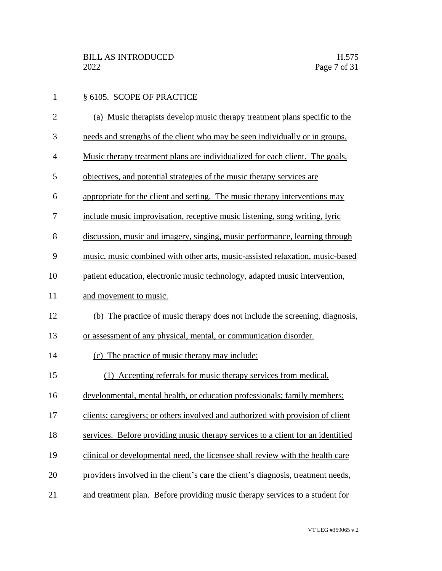| $\mathbf{1}$   | § 6105. SCOPE OF PRACTICE                                                        |
|----------------|----------------------------------------------------------------------------------|
| $\overline{2}$ | (a) Music therapists develop music therapy treatment plans specific to the       |
| 3              | needs and strengths of the client who may be seen individually or in groups.     |
| 4              | Music therapy treatment plans are individualized for each client. The goals,     |
| 5              | objectives, and potential strategies of the music therapy services are           |
| 6              | appropriate for the client and setting. The music therapy interventions may      |
| 7              | include music improvisation, receptive music listening, song writing, lyric      |
| 8              | discussion, music and imagery, singing, music performance, learning through      |
| 9              | music, music combined with other arts, music-assisted relaxation, music-based    |
| 10             | patient education, electronic music technology, adapted music intervention,      |
| 11             | and movement to music.                                                           |
| 12             | (b) The practice of music therapy does not include the screening, diagnosis,     |
| 13             | or assessment of any physical, mental, or communication disorder.                |
| 14             | (c) The practice of music therapy may include:                                   |
| 15             | (1) Accepting referrals for music therapy services from medical,                 |
| 16             | developmental, mental health, or education professionals; family members;        |
| 17             | clients; caregivers; or others involved and authorized with provision of client  |
| 18             | services. Before providing music therapy services to a client for an identified  |
| 19             | clinical or developmental need, the licensee shall review with the health care   |
| 20             | providers involved in the client's care the client's diagnosis, treatment needs, |
| 21             | and treatment plan. Before providing music therapy services to a student for     |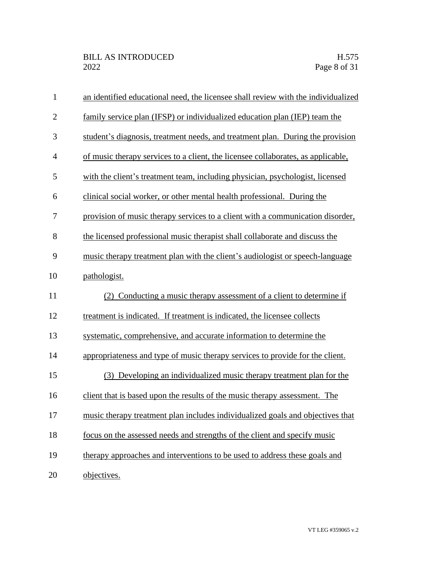| $\mathbf{1}$   | an identified educational need, the licensee shall review with the individualized |
|----------------|-----------------------------------------------------------------------------------|
| $\overline{2}$ | family service plan (IFSP) or individualized education plan (IEP) team the        |
| 3              | student's diagnosis, treatment needs, and treatment plan. During the provision    |
| $\overline{4}$ | of music therapy services to a client, the licensee collaborates, as applicable,  |
| 5              | with the client's treatment team, including physician, psychologist, licensed     |
| 6              | clinical social worker, or other mental health professional. During the           |
| 7              | provision of music therapy services to a client with a communication disorder,    |
| 8              | the licensed professional music therapist shall collaborate and discuss the       |
| 9              | music therapy treatment plan with the client's audiologist or speech-language     |
| 10             | pathologist.                                                                      |
| 11             | (2) Conducting a music therapy assessment of a client to determine if             |
| 12             | treatment is indicated. If treatment is indicated, the licensee collects          |
| 13             | systematic, comprehensive, and accurate information to determine the              |
| 14             | appropriateness and type of music therapy services to provide for the client.     |
| 15             | (3) Developing an individualized music therapy treatment plan for the             |
| 16             | client that is based upon the results of the music therapy assessment. The        |
| 17             | music therapy treatment plan includes individualized goals and objectives that    |
| 18             | focus on the assessed needs and strengths of the client and specify music         |
| 19             | therapy approaches and interventions to be used to address these goals and        |
| 20             | objectives.                                                                       |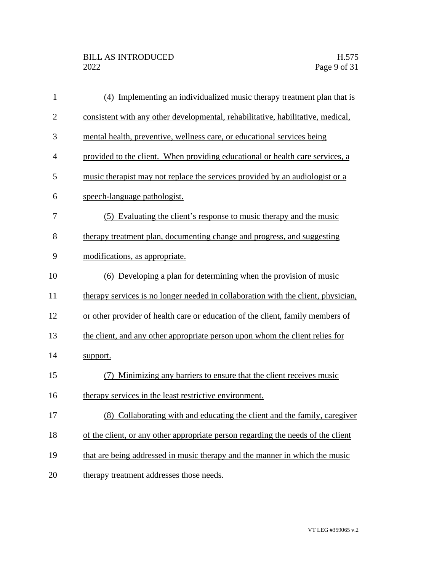| $\mathbf{1}$   | (4) Implementing an individualized music therapy treatment plan that is           |
|----------------|-----------------------------------------------------------------------------------|
| $\overline{2}$ | consistent with any other developmental, rehabilitative, habilitative, medical,   |
| 3              | mental health, preventive, wellness care, or educational services being           |
| $\overline{4}$ | provided to the client. When providing educational or health care services, a     |
| 5              | music therapist may not replace the services provided by an audiologist or a      |
| 6              | speech-language pathologist.                                                      |
| 7              | (5) Evaluating the client's response to music therapy and the music               |
| 8              | therapy treatment plan, documenting change and progress, and suggesting           |
| 9              | modifications, as appropriate.                                                    |
| 10             | (6) Developing a plan for determining when the provision of music                 |
| 11             | therapy services is no longer needed in collaboration with the client, physician, |
| 12             | or other provider of health care or education of the client, family members of    |
| 13             | the client, and any other appropriate person upon whom the client relies for      |
| 14             | support.                                                                          |
| 15             | Minimizing any barriers to ensure that the client receives music                  |
| 16             | therapy services in the least restrictive environment.                            |
| 17             | (8) Collaborating with and educating the client and the family, caregiver         |
| 18             | of the client, or any other appropriate person regarding the needs of the client  |
| 19             | that are being addressed in music therapy and the manner in which the music       |
| 20             | therapy treatment addresses those needs.                                          |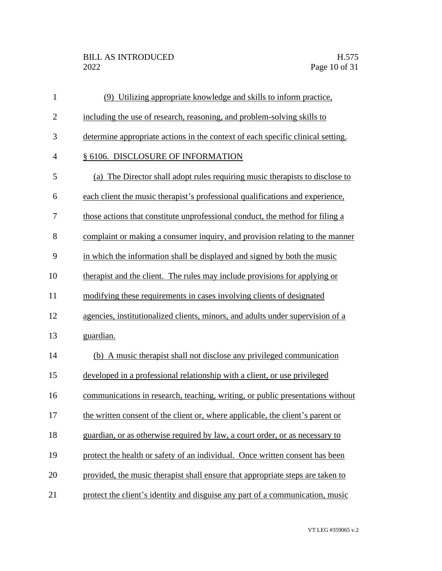| $\mathbf{1}$   | (9) Utilizing appropriate knowledge and skills to inform practice,              |
|----------------|---------------------------------------------------------------------------------|
| $\mathbf{2}$   | including the use of research, reasoning, and problem-solving skills to         |
| 3              | determine appropriate actions in the context of each specific clinical setting. |
| $\overline{4}$ | § 6106. DISCLOSURE OF INFORMATION                                               |
| 5              | (a) The Director shall adopt rules requiring music therapists to disclose to    |
| 6              | each client the music therapist's professional qualifications and experience,   |
| 7              | those actions that constitute unprofessional conduct, the method for filing a   |
| 8              | complaint or making a consumer inquiry, and provision relating to the manner    |
| 9              | in which the information shall be displayed and signed by both the music        |
| 10             | therapist and the client. The rules may include provisions for applying or      |
| 11             | modifying these requirements in cases involving clients of designated           |
| 12             | agencies, institutionalized clients, minors, and adults under supervision of a  |
| 13             | guardian.                                                                       |
| 14             | (b) A music therapist shall not disclose any privileged communication           |
| 15             | developed in a professional relationship with a client, or use privileged       |
| 16             | communications in research, teaching, writing, or public presentations without  |
| 17             | the written consent of the client or, where applicable, the client's parent or  |
| 18             | guardian, or as otherwise required by law, a court order, or as necessary to    |
| 19             | protect the health or safety of an individual. Once written consent has been    |
| 20             | provided, the music therapist shall ensure that appropriate steps are taken to  |
| 21             | protect the client's identity and disguise any part of a communication, music   |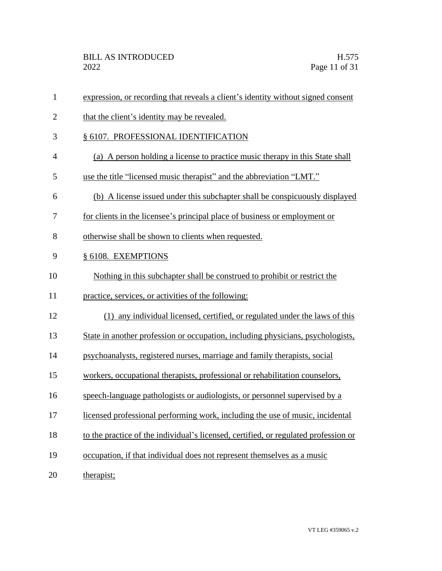| $\mathbf{1}$   | expression, or recording that reveals a client's identity without signed consent    |
|----------------|-------------------------------------------------------------------------------------|
| $\overline{2}$ | that the client's identity may be revealed.                                         |
| 3              | § 6107. PROFESSIONAL IDENTIFICATION                                                 |
| $\overline{4}$ | (a) A person holding a license to practice music therapy in this State shall        |
| 5              | use the title "licensed music therapist" and the abbreviation "LMT."                |
| 6              | (b) A license issued under this subchapter shall be conspicuously displayed         |
| 7              | for clients in the licensee's principal place of business or employment or          |
| 8              | otherwise shall be shown to clients when requested.                                 |
| 9              | § 6108. EXEMPTIONS                                                                  |
| 10             | Nothing in this subchapter shall be construed to prohibit or restrict the           |
| 11             | practice, services, or activities of the following:                                 |
| 12             | (1) any individual licensed, certified, or regulated under the laws of this         |
| 13             | State in another profession or occupation, including physicians, psychologists,     |
| 14             | psychoanalysts, registered nurses, marriage and family therapists, social           |
| 15             | workers, occupational therapists, professional or rehabilitation counselors,        |
| 16             | speech-language pathologists or audiologists, or personnel supervised by a          |
| 17             | licensed professional performing work, including the use of music, incidental       |
| 18             | to the practice of the individual's licensed, certified, or regulated profession or |
| 19             | occupation, if that individual does not represent themselves as a music             |
| 20             | therapist;                                                                          |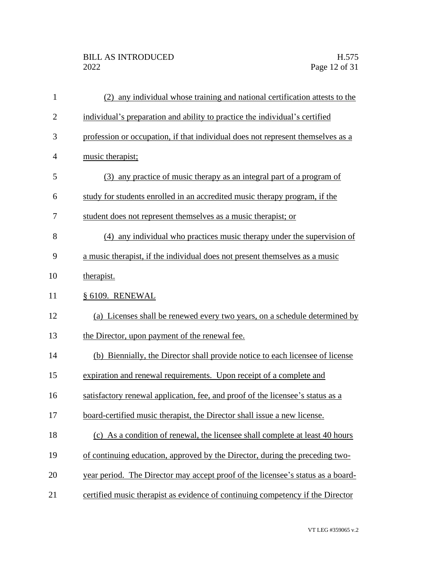## BILL AS INTRODUCED H.575<br>2022 Page 12 of 31

| $\mathbf{1}$   | (2) any individual whose training and national certification attests to the     |
|----------------|---------------------------------------------------------------------------------|
| $\overline{2}$ | individual's preparation and ability to practice the individual's certified     |
| 3              | profession or occupation, if that individual does not represent themselves as a |
| $\overline{4}$ | music therapist;                                                                |
| 5              | (3) any practice of music therapy as an integral part of a program of           |
| 6              | study for students enrolled in an accredited music therapy program, if the      |
| 7              | student does not represent themselves as a music therapist; or                  |
| 8              | (4) any individual who practices music therapy under the supervision of         |
| 9              | a music therapist, if the individual does not present themselves as a music     |
| 10             | therapist.                                                                      |
| 11             | § 6109. RENEWAL                                                                 |
| 12             | (a) Licenses shall be renewed every two years, on a schedule determined by      |
| 13             | the Director, upon payment of the renewal fee.                                  |
| 14             | (b) Biennially, the Director shall provide notice to each licensee of license   |
| 15             | expiration and renewal requirements. Upon receipt of a complete and             |
| 16             | satisfactory renewal application, fee, and proof of the licensee's status as a  |
| 17             | board-certified music therapist, the Director shall issue a new license.        |
| 18             | (c) As a condition of renewal, the licensee shall complete at least 40 hours    |
| 19             | of continuing education, approved by the Director, during the preceding two-    |
| 20             | year period. The Director may accept proof of the licensee's status as a board- |
| 21             | certified music therapist as evidence of continuing competency if the Director  |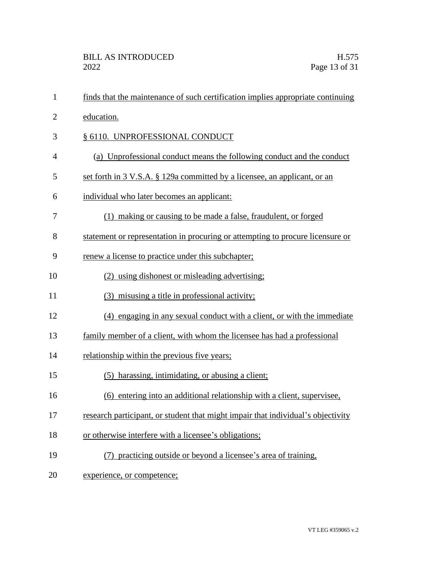| $\mathbf{1}$   | finds that the maintenance of such certification implies appropriate continuing  |
|----------------|----------------------------------------------------------------------------------|
| $\overline{2}$ | education.                                                                       |
| 3              | § 6110. UNPROFESSIONAL CONDUCT                                                   |
| 4              | (a) Unprofessional conduct means the following conduct and the conduct           |
| 5              | set forth in 3 V.S.A. § 129a committed by a licensee, an applicant, or an        |
| 6              | individual who later becomes an applicant:                                       |
| 7              | (1) making or causing to be made a false, fraudulent, or forged                  |
| 8              | statement or representation in procuring or attempting to procure licensure or   |
| 9              | renew a license to practice under this subchapter;                               |
| 10             | (2) using dishonest or misleading advertising;                                   |
| 11             | (3) misusing a title in professional activity;                                   |
| 12             | (4) engaging in any sexual conduct with a client, or with the immediate          |
| 13             | family member of a client, with whom the licensee has had a professional         |
| 14             | relationship within the previous five years;                                     |
| 15             | (5) harassing, intimidating, or abusing a client;                                |
| 16             | (6) entering into an additional relationship with a client, supervisee,          |
| 17             | research participant, or student that might impair that individual's objectivity |
| 18             | or otherwise interfere with a licensee's obligations;                            |
| 19             | (7) practicing outside or beyond a licensee's area of training,                  |
| 20             | experience, or competence;                                                       |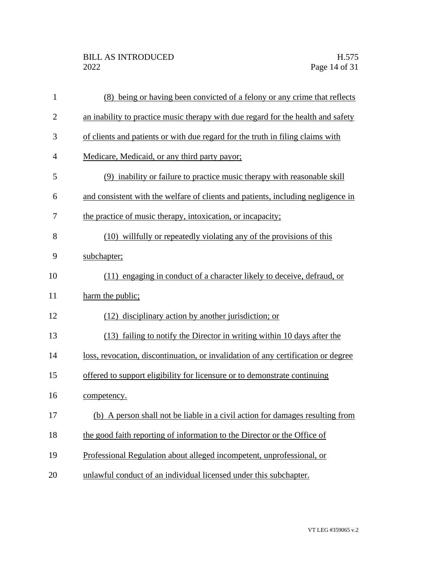| $\mathbf{1}$   | (8) being or having been convicted of a felony or any crime that reflects         |
|----------------|-----------------------------------------------------------------------------------|
| $\overline{c}$ | an inability to practice music therapy with due regard for the health and safety  |
| 3              | of clients and patients or with due regard for the truth in filing claims with    |
| $\overline{4}$ | Medicare, Medicaid, or any third party payor;                                     |
| 5              | (9) inability or failure to practice music therapy with reasonable skill          |
| 6              | and consistent with the welfare of clients and patients, including negligence in  |
| 7              | the practice of music therapy, intoxication, or incapacity;                       |
| 8              | (10) willfully or repeatedly violating any of the provisions of this              |
| 9              | subchapter;                                                                       |
| 10             | (11) engaging in conduct of a character likely to deceive, defraud, or            |
| 11             | harm the public;                                                                  |
| 12             | (12) disciplinary action by another jurisdiction; or                              |
| 13             | (13) failing to notify the Director in writing within 10 days after the           |
| 14             | loss, revocation, discontinuation, or invalidation of any certification or degree |
| 15             | offered to support eligibility for licensure or to demonstrate continuing         |
| 16             | competency.                                                                       |
| 17             | (b) A person shall not be liable in a civil action for damages resulting from     |
| 18             | the good faith reporting of information to the Director or the Office of          |
| 19             | Professional Regulation about alleged incompetent, unprofessional, or             |
| 20             | unlawful conduct of an individual licensed under this subchapter.                 |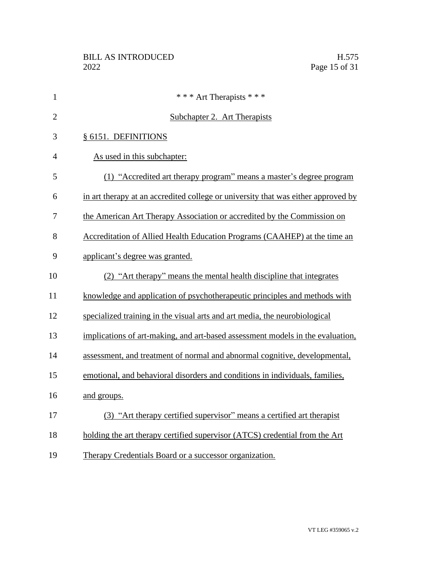| $\mathbf{1}$   | * * * Art Therapists * * *                                                        |
|----------------|-----------------------------------------------------------------------------------|
| $\overline{2}$ | Subchapter 2. Art Therapists                                                      |
| 3              | § 6151. DEFINITIONS                                                               |
| $\overline{4}$ | As used in this subchapter:                                                       |
| 5              | (1) "Accredited art therapy program" means a master's degree program              |
| 6              | in art therapy at an accredited college or university that was either approved by |
| 7              | the American Art Therapy Association or accredited by the Commission on           |
| 8              | Accreditation of Allied Health Education Programs (CAAHEP) at the time an         |
| 9              | applicant's degree was granted.                                                   |
| 10             | (2) "Art therapy" means the mental health discipline that integrates              |
| 11             | knowledge and application of psychotherapeutic principles and methods with        |
| 12             | specialized training in the visual arts and art media, the neurobiological        |
| 13             | implications of art-making, and art-based assessment models in the evaluation,    |
| 14             | assessment, and treatment of normal and abnormal cognitive, developmental,        |
| 15             | emotional, and behavioral disorders and conditions in individuals, families,      |
| 16             | and groups.                                                                       |
| 17             | (3) "Art therapy certified supervisor" means a certified art therapist            |
| 18             | holding the art therapy certified supervisor (ATCS) credential from the Art       |
| 19             | Therapy Credentials Board or a successor organization.                            |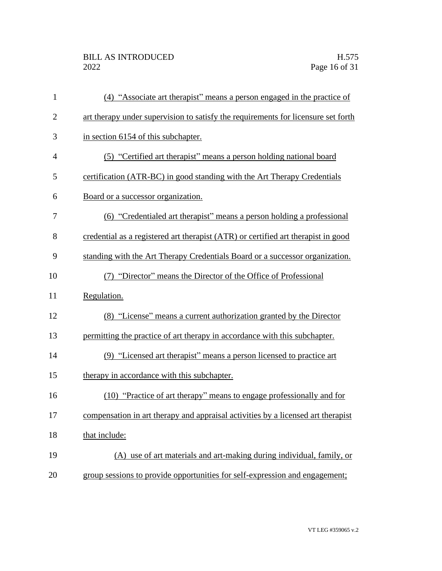| $\mathbf{1}$   | (4) "Associate art therapist" means a person engaged in the practice of           |
|----------------|-----------------------------------------------------------------------------------|
| $\mathbf{2}$   | art therapy under supervision to satisfy the requirements for licensure set forth |
| 3              | in section 6154 of this subchapter.                                               |
| $\overline{4}$ | (5) "Certified art therapist" means a person holding national board               |
| 5              | certification (ATR-BC) in good standing with the Art Therapy Credentials          |
| 6              | Board or a successor organization.                                                |
| 7              | (6) "Credentialed art therapist" means a person holding a professional            |
| 8              | credential as a registered art therapist (ATR) or certified art therapist in good |
| 9              | standing with the Art Therapy Credentials Board or a successor organization.      |
| 10             | (7) "Director" means the Director of the Office of Professional                   |
| 11             | Regulation.                                                                       |
| 12             | (8) "License" means a current authorization granted by the Director               |
| 13             | permitting the practice of art therapy in accordance with this subchapter.        |
| 14             | (9) "Licensed art therapist" means a person licensed to practice art              |
| 15             | therapy in accordance with this subchapter.                                       |
| 16             | (10) "Practice of art therapy" means to engage professionally and for             |
| 17             | compensation in art therapy and appraisal activities by a licensed art therapist  |
| 18             | that include:                                                                     |
| 19             | (A) use of art materials and art-making during individual, family, or             |
| 20             | group sessions to provide opportunities for self-expression and engagement;       |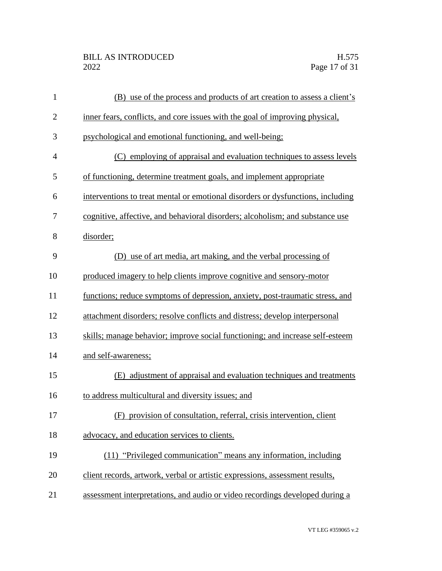| $\mathbf{1}$   | (B) use of the process and products of art creation to assess a client's        |
|----------------|---------------------------------------------------------------------------------|
| $\overline{c}$ | inner fears, conflicts, and core issues with the goal of improving physical,    |
| 3              | psychological and emotional functioning, and well-being;                        |
| $\overline{4}$ | (C) employing of appraisal and evaluation techniques to assess levels           |
| 5              | of functioning, determine treatment goals, and implement appropriate            |
| 6              | interventions to treat mental or emotional disorders or dysfunctions, including |
| 7              | cognitive, affective, and behavioral disorders; alcoholism; and substance use   |
| 8              | disorder;                                                                       |
| 9              | (D) use of art media, art making, and the verbal processing of                  |
| 10             | produced imagery to help clients improve cognitive and sensory-motor            |
| 11             | functions; reduce symptoms of depression, anxiety, post-traumatic stress, and   |
| 12             | attachment disorders; resolve conflicts and distress; develop interpersonal     |
| 13             | skills; manage behavior; improve social functioning; and increase self-esteem   |
| 14             | and self-awareness;                                                             |
| 15             | (E) adjustment of appraisal and evaluation techniques and treatments            |
| 16             | to address multicultural and diversity issues; and                              |
| 17             | (F) provision of consultation, referral, crisis intervention, client            |
| 18             | advocacy, and education services to clients.                                    |
| 19             | (11) "Privileged communication" means any information, including                |
| 20             | client records, artwork, verbal or artistic expressions, assessment results,    |
| 21             | assessment interpretations, and audio or video recordings developed during a    |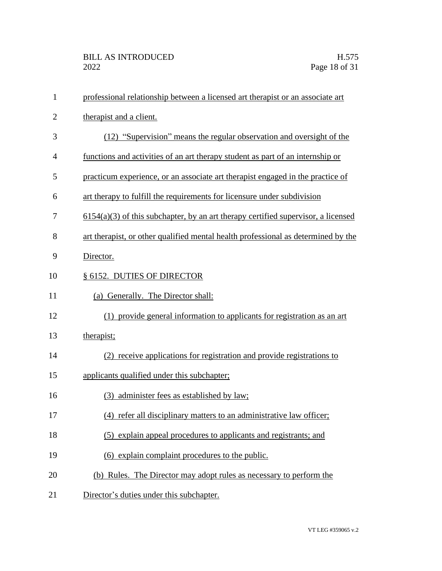| $\mathbf{1}$   | professional relationship between a licensed art therapist or an associate art      |
|----------------|-------------------------------------------------------------------------------------|
| $\overline{2}$ | therapist and a client.                                                             |
| 3              | (12) "Supervision" means the regular observation and oversight of the               |
| 4              | functions and activities of an art therapy student as part of an internship or      |
| 5              | practicum experience, or an associate art therapist engaged in the practice of      |
| 6              | art therapy to fulfill the requirements for licensure under subdivision             |
| 7              | $6154(a)(3)$ of this subchapter, by an art therapy certified supervisor, a licensed |
| 8              | art therapist, or other qualified mental health professional as determined by the   |
| 9              | Director.                                                                           |
| 10             | § 6152. DUTIES OF DIRECTOR                                                          |
| 11             | (a) Generally. The Director shall:                                                  |
| 12             | (1) provide general information to applicants for registration as an art            |
| 13             | therapist;                                                                          |
| 14             | (2) receive applications for registration and provide registrations to              |
| 15             | applicants qualified under this subchapter;                                         |
| 16             | (3) administer fees as established by law;                                          |
| 17             | (4) refer all disciplinary matters to an administrative law officer;                |
| 18             | (5) explain appeal procedures to applicants and registrants; and                    |
| 19             | (6) explain complaint procedures to the public.                                     |
| 20             | (b) Rules. The Director may adopt rules as necessary to perform the                 |
| 21             | Director's duties under this subchapter.                                            |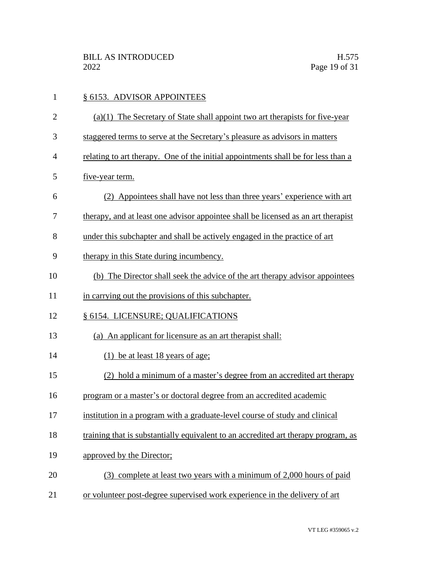| $\mathbf{1}$   | § 6153. ADVISOR APPOINTEES                                                         |
|----------------|------------------------------------------------------------------------------------|
| $\overline{2}$ | $(a)(1)$ The Secretary of State shall appoint two art therapists for five-year     |
| 3              | staggered terms to serve at the Secretary's pleasure as advisors in matters        |
| 4              | relating to art therapy. One of the initial appointments shall be for less than a  |
| 5              | five-year term.                                                                    |
| 6              | (2) Appointees shall have not less than three years' experience with art           |
| 7              | therapy, and at least one advisor appointee shall be licensed as an art therapist  |
| 8              | under this subchapter and shall be actively engaged in the practice of art         |
| 9              | therapy in this State during incumbency.                                           |
| 10             | (b) The Director shall seek the advice of the art therapy advisor appointees       |
| 11             | in carrying out the provisions of this subchapter.                                 |
| 12             | § 6154. LICENSURE; QUALIFICATIONS                                                  |
| 13             | (a) An applicant for licensure as an art therapist shall:                          |
| 14             | $(1)$ be at least 18 years of age;                                                 |
| 15             | (2) hold a minimum of a master's degree from an accredited art therapy             |
| 16             | program or a master's or doctoral degree from an accredited academic               |
| 17             | institution in a program with a graduate-level course of study and clinical        |
| 18             | training that is substantially equivalent to an accredited art therapy program, as |
| 19             | approved by the Director:                                                          |
| 20             | (3) complete at least two years with a minimum of 2,000 hours of paid              |
| 21             | or volunteer post-degree supervised work experience in the delivery of art         |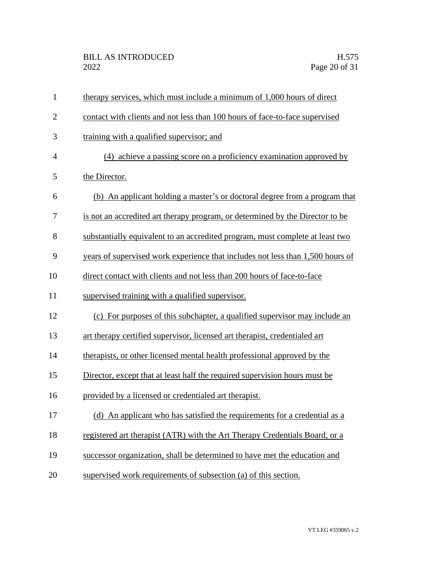| $\mathbf{1}$   | therapy services, which must include a minimum of 1,000 hours of direct        |
|----------------|--------------------------------------------------------------------------------|
| $\overline{2}$ | contact with clients and not less than 100 hours of face-to-face supervised    |
| 3              | training with a qualified supervisor; and                                      |
| $\overline{4}$ | (4) achieve a passing score on a proficiency examination approved by           |
| 5              | the Director.                                                                  |
| 6              | (b) An applicant holding a master's or doctoral degree from a program that     |
| 7              | is not an accredited art therapy program, or determined by the Director to be  |
| 8              | substantially equivalent to an accredited program, must complete at least two  |
| 9              | years of supervised work experience that includes not less than 1,500 hours of |
| 10             | direct contact with clients and not less than 200 hours of face-to-face        |
| 11             | supervised training with a qualified supervisor.                               |
| 12             | (c) For purposes of this subchapter, a qualified supervisor may include an     |
| 13             | art therapy certified supervisor, licensed art therapist, credentialed art     |
| 14             | therapists, or other licensed mental health professional approved by the       |
| 15             | Director, except that at least half the required supervision hours must be     |
| 16             | provided by a licensed or credentialed art therapist.                          |
| 17             | (d) An applicant who has satisfied the requirements for a credential as a      |
| 18             | registered art therapist (ATR) with the Art Therapy Credentials Board, or a    |
| 19             | successor organization, shall be determined to have met the education and      |
| 20             | supervised work requirements of subsection (a) of this section.                |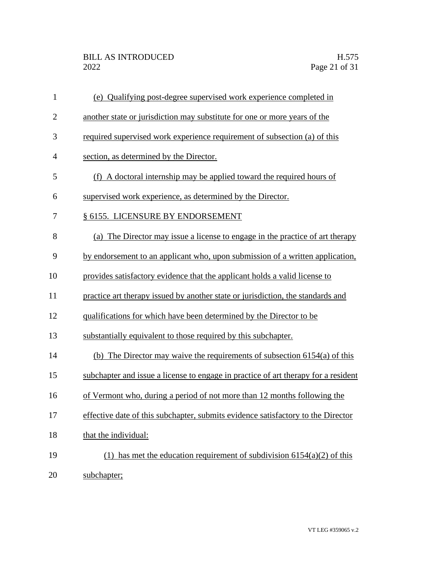| $\mathbf{1}$   | (e) Qualifying post-degree supervised work experience completed in                 |
|----------------|------------------------------------------------------------------------------------|
| $\overline{2}$ | another state or jurisdiction may substitute for one or more years of the          |
| 3              | required supervised work experience requirement of subsection (a) of this          |
| 4              | section, as determined by the Director.                                            |
| 5              | (f) A doctoral internship may be applied toward the required hours of              |
| 6              | supervised work experience, as determined by the Director.                         |
| 7              | § 6155. LICENSURE BY ENDORSEMENT                                                   |
| 8              | (a) The Director may issue a license to engage in the practice of art therapy      |
| 9              | by endorsement to an applicant who, upon submission of a written application,      |
| 10             | provides satisfactory evidence that the applicant holds a valid license to         |
| 11             | practice art therapy issued by another state or jurisdiction, the standards and    |
| 12             | qualifications for which have been determined by the Director to be                |
| 13             | substantially equivalent to those required by this subchapter.                     |
| 14             | (b) The Director may waive the requirements of subsection $6154(a)$ of this        |
| 15             | subchapter and issue a license to engage in practice of art therapy for a resident |
| 16             | of Vermont who, during a period of not more than 12 months following the           |
| 17             | effective date of this subchapter, submits evidence satisfactory to the Director   |
| 18             | that the individual:                                                               |
| 19             | (1) has met the education requirement of subdivision $6154(a)(2)$ of this          |
| 20             | subchapter;                                                                        |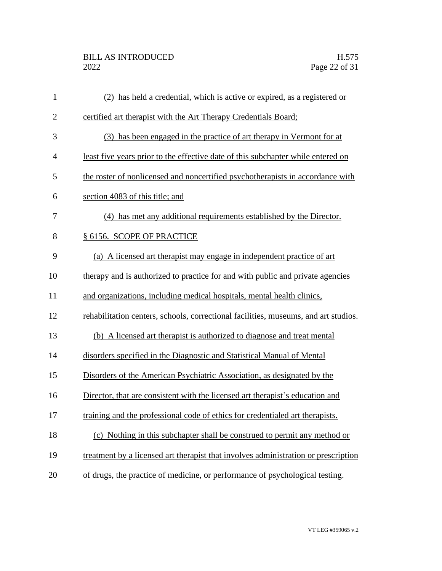| $\mathbf{1}$   | (2) has held a credential, which is active or expired, as a registered or           |
|----------------|-------------------------------------------------------------------------------------|
| $\overline{2}$ | certified art therapist with the Art Therapy Credentials Board;                     |
| 3              | (3) has been engaged in the practice of art therapy in Vermont for at               |
| $\overline{4}$ | least five years prior to the effective date of this subchapter while entered on    |
| 5              | the roster of nonlicensed and noncertified psychotherapists in accordance with      |
| 6              | section 4083 of this title; and                                                     |
| 7              | (4) has met any additional requirements established by the Director.                |
| 8              | § 6156. SCOPE OF PRACTICE                                                           |
| 9              | (a) A licensed art therapist may engage in independent practice of art              |
| 10             | therapy and is authorized to practice for and with public and private agencies      |
| 11             | and organizations, including medical hospitals, mental health clinics,              |
| 12             | rehabilitation centers, schools, correctional facilities, museums, and art studios. |
| 13             | (b) A licensed art therapist is authorized to diagnose and treat mental             |
| 14             | disorders specified in the Diagnostic and Statistical Manual of Mental              |
| 15             | Disorders of the American Psychiatric Association, as designated by the             |
| 16             | Director, that are consistent with the licensed art therapist's education and       |
| 17             | training and the professional code of ethics for credentialed art therapists.       |
| 18             | (c) Nothing in this subchapter shall be construed to permit any method or           |
| 19             | treatment by a licensed art therapist that involves administration or prescription  |
| 20             | of drugs, the practice of medicine, or performance of psychological testing.        |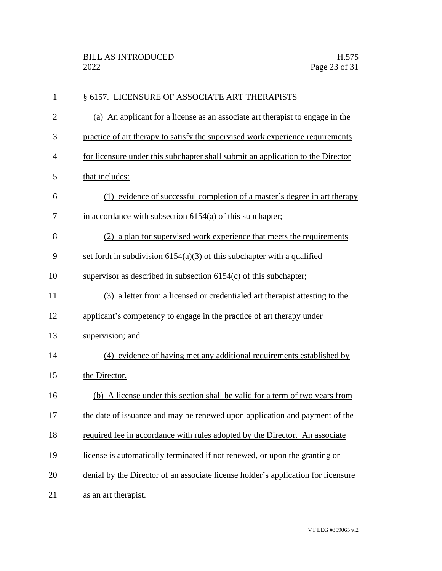| $\mathbf{1}$   | § 6157. LICENSURE OF ASSOCIATE ART THERAPISTS                                     |
|----------------|-----------------------------------------------------------------------------------|
| $\overline{2}$ | (a) An applicant for a license as an associate art therapist to engage in the     |
| 3              | practice of art therapy to satisfy the supervised work experience requirements    |
| $\overline{4}$ | for licensure under this subchapter shall submit an application to the Director   |
| 5              | that includes:                                                                    |
| 6              | (1) evidence of successful completion of a master's degree in art therapy         |
| 7              | in accordance with subsection $6154(a)$ of this subchapter;                       |
| 8              | (2) a plan for supervised work experience that meets the requirements             |
| 9              | set forth in subdivision $6154(a)(3)$ of this subchapter with a qualified         |
| 10             | supervisor as described in subsection $6154(c)$ of this subchapter;               |
| 11             | (3) a letter from a licensed or credentialed art therapist attesting to the       |
| 12             | applicant's competency to engage in the practice of art therapy under             |
| 13             | supervision; and                                                                  |
| 14             | (4) evidence of having met any additional requirements established by             |
| 15             | the Director.                                                                     |
| 16             | (b) A license under this section shall be valid for a term of two years from      |
| 17             | the date of issuance and may be renewed upon application and payment of the       |
| 18             | required fee in accordance with rules adopted by the Director. An associate       |
| 19             | license is automatically terminated if not renewed, or upon the granting or       |
| 20             | denial by the Director of an associate license holder's application for licensure |
| 21             | as an art therapist.                                                              |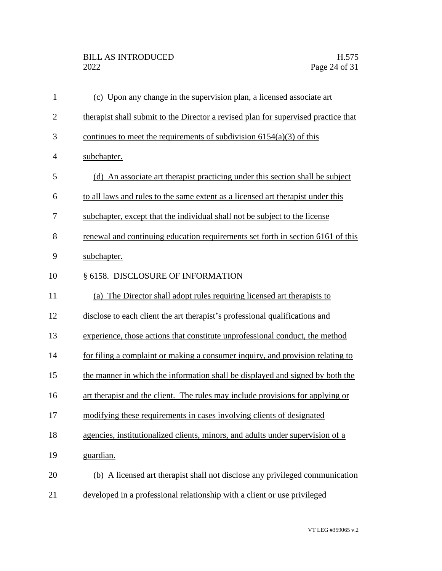| $\mathbf{1}$   | (c) Upon any change in the supervision plan, a licensed associate art              |
|----------------|------------------------------------------------------------------------------------|
| $\overline{2}$ | therapist shall submit to the Director a revised plan for supervised practice that |
| 3              | continues to meet the requirements of subdivision $6154(a)(3)$ of this             |
| $\overline{4}$ | subchapter.                                                                        |
| 5              | An associate art therapist practicing under this section shall be subject<br>(d)   |
| 6              | to all laws and rules to the same extent as a licensed art therapist under this    |
| 7              | subchapter, except that the individual shall not be subject to the license         |
| 8              | renewal and continuing education requirements set forth in section 6161 of this    |
| 9              | subchapter.                                                                        |
| 10             | § 6158. DISCLOSURE OF INFORMATION                                                  |
| 11             | (a) The Director shall adopt rules requiring licensed art therapists to            |
| 12             | disclose to each client the art therapist's professional qualifications and        |
| 13             | experience, those actions that constitute unprofessional conduct, the method       |
| 14             | for filing a complaint or making a consumer inquiry, and provision relating to     |
| 15             | the manner in which the information shall be displayed and signed by both the      |
| 16             | art therapist and the client. The rules may include provisions for applying or     |
| 17             | modifying these requirements in cases involving clients of designated              |
| 18             | agencies, institutionalized clients, minors, and adults under supervision of a     |
| 19             | guardian.                                                                          |
| 20             | (b) A licensed art therapist shall not disclose any privileged communication       |
| 21             | developed in a professional relationship with a client or use privileged           |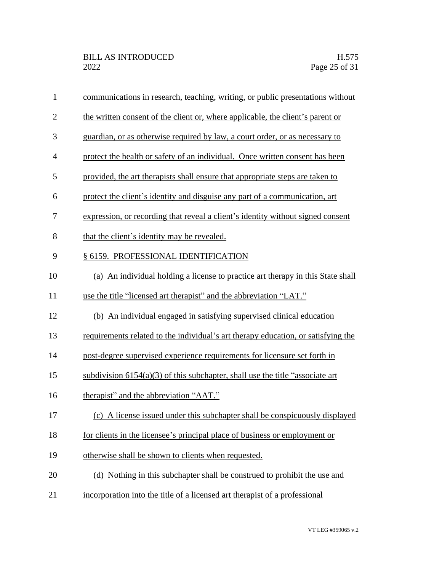| $\mathbf{1}$   | communications in research, teaching, writing, or public presentations without    |
|----------------|-----------------------------------------------------------------------------------|
| $\overline{2}$ | the written consent of the client or, where applicable, the client's parent or    |
| 3              | guardian, or as otherwise required by law, a court order, or as necessary to      |
| $\overline{4}$ | protect the health or safety of an individual. Once written consent has been      |
| 5              | provided, the art therapists shall ensure that appropriate steps are taken to     |
| 6              | protect the client's identity and disguise any part of a communication, art       |
| 7              | expression, or recording that reveal a client's identity without signed consent   |
| 8              | that the client's identity may be revealed.                                       |
| 9              | § 6159. PROFESSIONAL IDENTIFICATION                                               |
| 10             | (a) An individual holding a license to practice art therapy in this State shall   |
| 11             | use the title "licensed art therapist" and the abbreviation "LAT."                |
| 12             | (b) An individual engaged in satisfying supervised clinical education             |
| 13             | requirements related to the individual's art therapy education, or satisfying the |
| 14             | post-degree supervised experience requirements for licensure set forth in         |
| 15             | subdivision $6154(a)(3)$ of this subchapter, shall use the title "associate art"  |
| 16             | therapist" and the abbreviation "AAT."                                            |
| 17             | (c) A license issued under this subchapter shall be conspicuously displayed       |
| 18             | for clients in the licensee's principal place of business or employment or        |
| 19             | otherwise shall be shown to clients when requested.                               |
| 20             | (d) Nothing in this subchapter shall be construed to prohibit the use and         |
| 21             | incorporation into the title of a licensed art therapist of a professional        |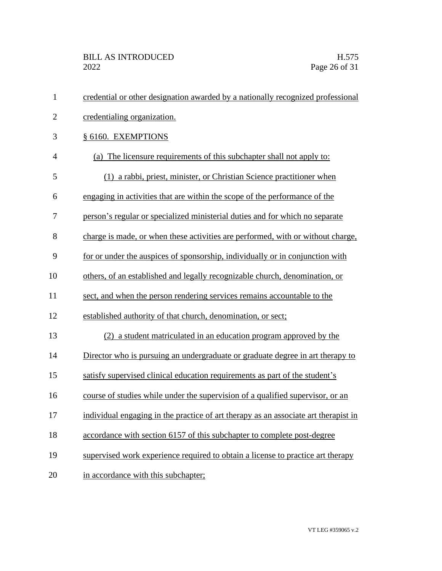| $\mathbf{1}$   | credential or other designation awarded by a nationally recognized professional     |
|----------------|-------------------------------------------------------------------------------------|
| $\overline{2}$ | credentialing organization.                                                         |
| 3              | § 6160. EXEMPTIONS                                                                  |
| $\overline{4}$ | (a) The licensure requirements of this subchapter shall not apply to:               |
| 5              | (1) a rabbi, priest, minister, or Christian Science practitioner when               |
| 6              | engaging in activities that are within the scope of the performance of the          |
| 7              | person's regular or specialized ministerial duties and for which no separate        |
| 8              | charge is made, or when these activities are performed, with or without charge,     |
| 9              | for or under the auspices of sponsorship, individually or in conjunction with       |
| 10             | others, of an established and legally recognizable church, denomination, or         |
| 11             | sect, and when the person rendering services remains accountable to the             |
| 12             | established authority of that church, denomination, or sect;                        |
| 13             | (2) a student matriculated in an education program approved by the                  |
| 14             | Director who is pursuing an undergraduate or graduate degree in art therapy to      |
| 15             | satisfy supervised clinical education requirements as part of the student's         |
| 16             | course of studies while under the supervision of a qualified supervisor, or an      |
| 17             | individual engaging in the practice of art therapy as an associate art therapist in |
| 18             | accordance with section 6157 of this subchapter to complete post-degree             |
| 19             | supervised work experience required to obtain a license to practice art therapy     |
| 20             | in accordance with this subchapter;                                                 |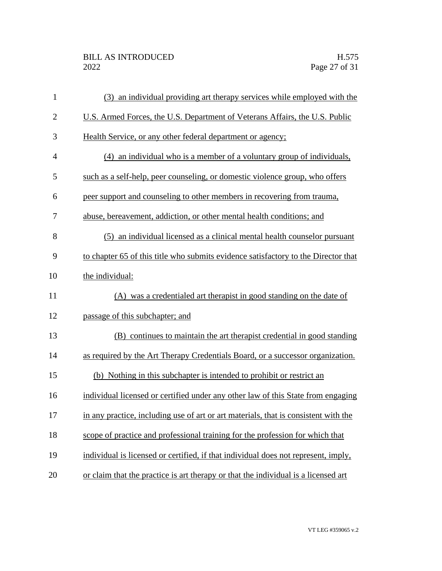| $\mathbf{1}$   | an individual providing art therapy services while employed with the<br>(3)         |
|----------------|-------------------------------------------------------------------------------------|
| $\overline{2}$ | U.S. Armed Forces, the U.S. Department of Veterans Affairs, the U.S. Public         |
| 3              | Health Service, or any other federal department or agency;                          |
| $\overline{4}$ | (4) an individual who is a member of a voluntary group of individuals,              |
| 5              | such as a self-help, peer counseling, or domestic violence group, who offers        |
| 6              | peer support and counseling to other members in recovering from trauma,             |
| 7              | abuse, bereavement, addiction, or other mental health conditions; and               |
| 8              | (5) an individual licensed as a clinical mental health counselor pursuant           |
| 9              | to chapter 65 of this title who submits evidence satisfactory to the Director that  |
| 10             | the individual:                                                                     |
| 11             | (A) was a credentialed art therapist in good standing on the date of                |
| 12             | passage of this subchapter; and                                                     |
| 13             | (B) continues to maintain the art therapist credential in good standing             |
| 14             | as required by the Art Therapy Credentials Board, or a successor organization.      |
| 15             | (b) Nothing in this subchapter is intended to prohibit or restrict an               |
| 16             | individual licensed or certified under any other law of this State from engaging    |
| 17             | in any practice, including use of art or art materials, that is consistent with the |
| 18             | scope of practice and professional training for the profession for which that       |
| 19             | individual is licensed or certified, if that individual does not represent, imply,  |
| 20             | or claim that the practice is art therapy or that the individual is a licensed art  |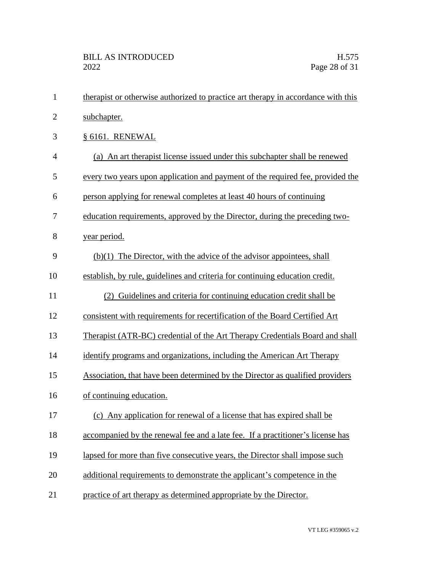| 1              | therapist or otherwise authorized to practice art therapy in accordance with this |
|----------------|-----------------------------------------------------------------------------------|
| $\overline{2}$ | subchapter.                                                                       |
| 3              | § 6161. RENEWAL                                                                   |
| $\overline{4}$ | (a) An art therapist license issued under this subchapter shall be renewed        |
| 5              | every two years upon application and payment of the required fee, provided the    |
| 6              | person applying for renewal completes at least 40 hours of continuing             |
| 7              | education requirements, approved by the Director, during the preceding two-       |
| 8              | year period.                                                                      |
| 9              | $(b)(1)$ The Director, with the advice of the advisor appointees, shall           |
| 10             | establish, by rule, guidelines and criteria for continuing education credit.      |
| 11             | (2) Guidelines and criteria for continuing education credit shall be              |
| 12             | consistent with requirements for recertification of the Board Certified Art       |
| 13             | Therapist (ATR-BC) credential of the Art Therapy Credentials Board and shall      |
| 14             | identify programs and organizations, including the American Art Therapy           |
| 15             | Association, that have been determined by the Director as qualified providers     |
| 16             | of continuing education.                                                          |
| 17             | (c) Any application for renewal of a license that has expired shall be            |
| 18             | accompanied by the renewal fee and a late fee. If a practitioner's license has    |
| 19             | lapsed for more than five consecutive years, the Director shall impose such       |
| 20             | additional requirements to demonstrate the applicant's competence in the          |
| 21             | practice of art therapy as determined appropriate by the Director.                |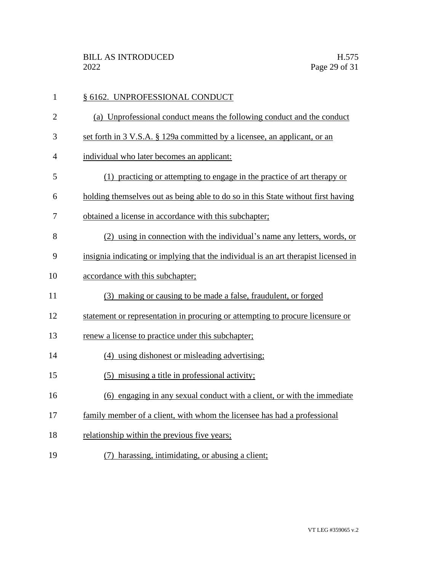| $\mathbf{1}$   | § 6162. UNPROFESSIONAL CONDUCT                                                      |
|----------------|-------------------------------------------------------------------------------------|
| $\overline{2}$ | (a) Unprofessional conduct means the following conduct and the conduct              |
| 3              | set forth in 3 V.S.A. § 129a committed by a licensee, an applicant, or an           |
| 4              | individual who later becomes an applicant:                                          |
| 5              | (1) practicing or attempting to engage in the practice of art therapy or            |
| 6              | holding themselves out as being able to do so in this State without first having    |
| 7              | obtained a license in accordance with this subchapter;                              |
| 8              | (2) using in connection with the individual's name any letters, words, or           |
| 9              | insignia indicating or implying that the individual is an art therapist licensed in |
| 10             | accordance with this subchapter;                                                    |
| 11             | (3) making or causing to be made a false, fraudulent, or forged                     |
| 12             | statement or representation in procuring or attempting to procure licensure or      |
| 13             | renew a license to practice under this subchapter;                                  |
| 14             | (4) using dishonest or misleading advertising;                                      |
| 15             | (5) misusing a title in professional activity;                                      |
| 16             | (6) engaging in any sexual conduct with a client, or with the immediate             |
| 17             | family member of a client, with whom the licensee has had a professional            |
| 18             | relationship within the previous five years;                                        |
| 19             | (7) harassing, intimidating, or abusing a client;                                   |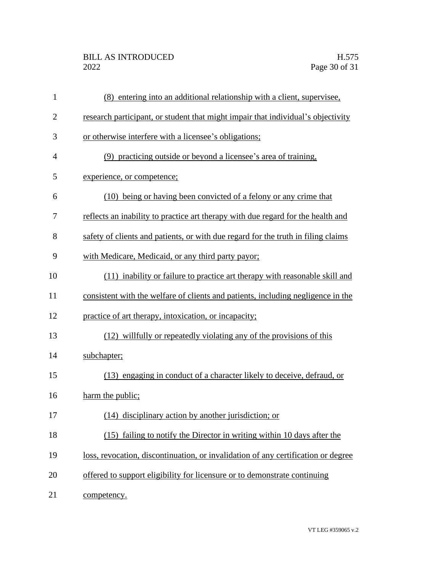| $\mathbf{1}$   | (8) entering into an additional relationship with a client, supervisee,           |
|----------------|-----------------------------------------------------------------------------------|
| $\overline{2}$ | research participant, or student that might impair that individual's objectivity  |
| 3              | or otherwise interfere with a licensee's obligations;                             |
| 4              | (9) practicing outside or beyond a licensee's area of training,                   |
| 5              | experience, or competence;                                                        |
| 6              | (10) being or having been convicted of a felony or any crime that                 |
| 7              | reflects an inability to practice art therapy with due regard for the health and  |
| 8              | safety of clients and patients, or with due regard for the truth in filing claims |
| 9              | with Medicare, Medicaid, or any third party payor;                                |
| 10             | (11) inability or failure to practice art therapy with reasonable skill and       |
| 11             | consistent with the welfare of clients and patients, including negligence in the  |
| 12             | practice of art therapy, intoxication, or incapacity;                             |
| 13             | (12) willfully or repeatedly violating any of the provisions of this              |
| 14             | subchapter;                                                                       |
| 15             | (13) engaging in conduct of a character likely to deceive, defraud, or            |
| 16             | harm the public;                                                                  |
| 17             | (14) disciplinary action by another jurisdiction; or                              |
| 18             | (15) failing to notify the Director in writing within 10 days after the           |
| 19             | loss, revocation, discontinuation, or invalidation of any certification or degree |
| 20             | offered to support eligibility for licensure or to demonstrate continuing         |
| 21             | competency.                                                                       |